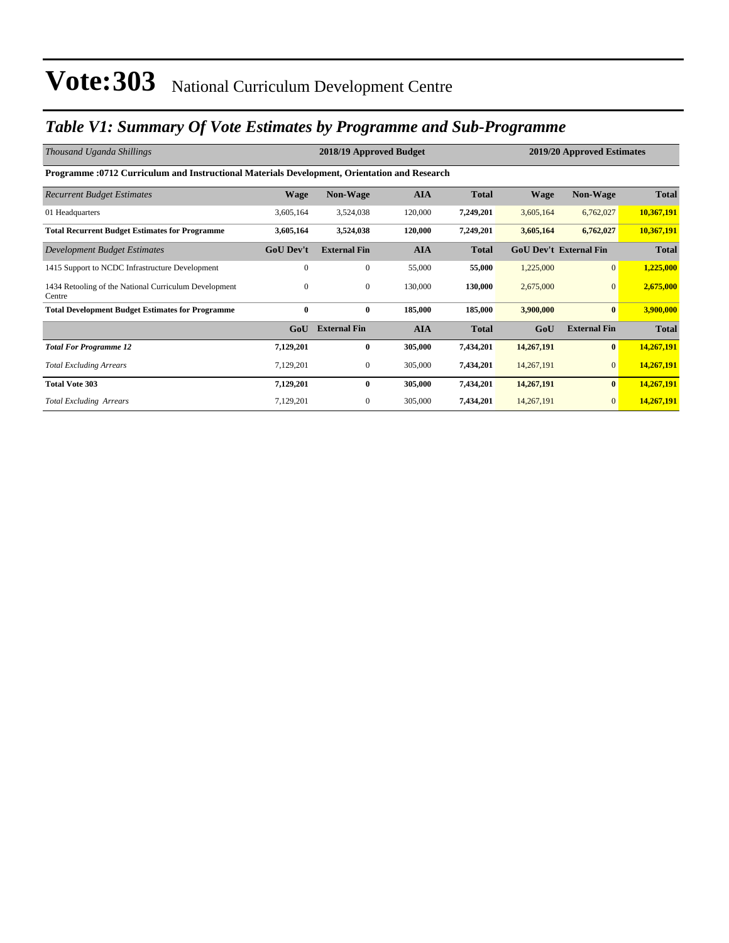### *Table V1: Summary Of Vote Estimates by Programme and Sub-Programme*

| Thousand Uganda Shillings                                                                    |                  | 2018/19 Approved Budget |            | 2019/20 Approved Estimates |             |                               |              |  |  |  |
|----------------------------------------------------------------------------------------------|------------------|-------------------------|------------|----------------------------|-------------|-------------------------------|--------------|--|--|--|
| Programme :0712 Curriculum and Instructional Materials Development, Orientation and Research |                  |                         |            |                            |             |                               |              |  |  |  |
| <b>Recurrent Budget Estimates</b>                                                            | <b>Wage</b>      | <b>Non-Wage</b>         | <b>AIA</b> | <b>Total</b>               | <b>Wage</b> | <b>Non-Wage</b>               | <b>Total</b> |  |  |  |
| 01 Headquarters                                                                              | 3,605,164        | 3,524,038               | 120,000    | 7,249,201                  | 3,605,164   | 6,762,027                     | 10,367,191   |  |  |  |
| <b>Total Recurrent Budget Estimates for Programme</b>                                        | 3,605,164        | 3,524,038               | 120,000    | 7,249,201                  | 3,605,164   | 6,762,027                     | 10,367,191   |  |  |  |
| Development Budget Estimates                                                                 | <b>GoU Dev't</b> | <b>External Fin</b>     | <b>AIA</b> | <b>Total</b>               |             | <b>GoU Dev't External Fin</b> | <b>Total</b> |  |  |  |
| 1415 Support to NCDC Infrastructure Development                                              | $\Omega$         | $\mathbf{0}$            | 55,000     | 55,000                     | 1,225,000   | $\overline{0}$                | 1,225,000    |  |  |  |
| 1434 Retooling of the National Curriculum Development<br>Centre                              | $\mathbf{0}$     | $\boldsymbol{0}$        | 130,000    | 130,000                    | 2,675,000   | $\mathbf{0}$                  | 2,675,000    |  |  |  |
| <b>Total Development Budget Estimates for Programme</b>                                      | $\bf{0}$         | $\bf{0}$                | 185,000    | 185,000                    | 3,900,000   | $\bf{0}$                      | 3,900,000    |  |  |  |
|                                                                                              | GoU              | <b>External Fin</b>     | <b>AIA</b> | <b>Total</b>               | GoU         | <b>External Fin</b>           | <b>Total</b> |  |  |  |
| <b>Total For Programme 12</b>                                                                | 7,129,201        | $\bf{0}$                | 305,000    | 7,434,201                  | 14,267,191  | $\bf{0}$                      | 14,267,191   |  |  |  |
| <b>Total Excluding Arrears</b>                                                               | 7,129,201        | 0                       | 305,000    | 7,434,201                  | 14,267,191  | $\overline{0}$                | 14,267,191   |  |  |  |
| <b>Total Vote 303</b>                                                                        | 7,129,201        | $\bf{0}$                | 305,000    | 7,434,201                  | 14,267,191  | $\bf{0}$                      | 14,267,191   |  |  |  |
| <b>Total Excluding Arrears</b>                                                               | 7,129,201        | $\mathbf{0}$            | 305,000    | 7,434,201                  | 14,267,191  | $\mathbf{0}$                  | 14,267,191   |  |  |  |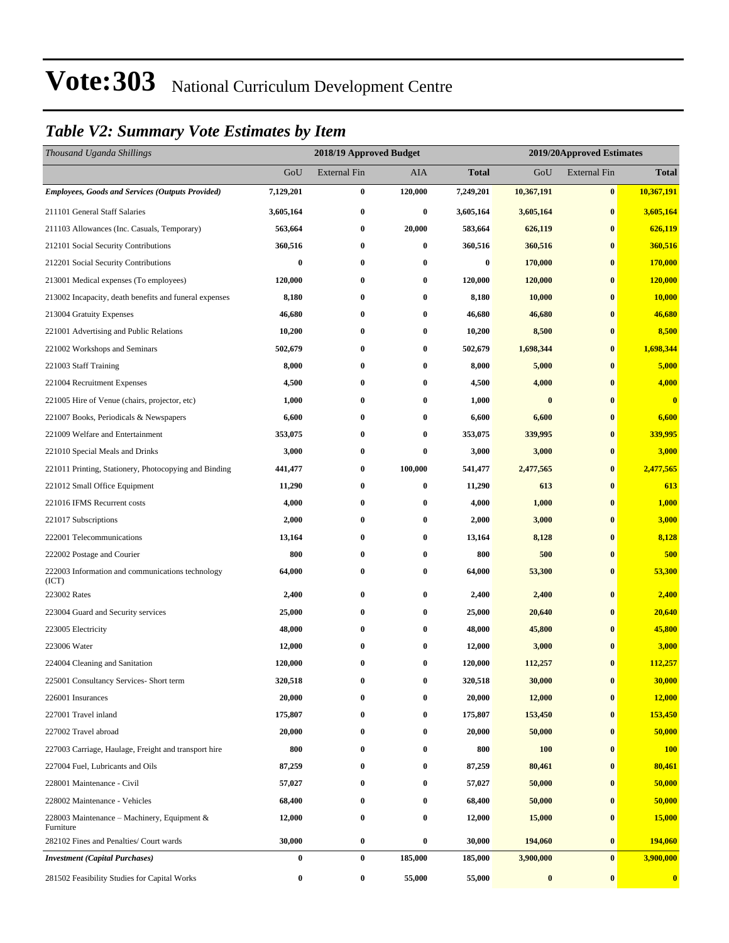#### *Table V2: Summary Vote Estimates by Item*

| Thousand Uganda Shillings                                 |           | 2018/19 Approved Budget |            | 2019/20Approved Estimates |            |                     |                         |
|-----------------------------------------------------------|-----------|-------------------------|------------|---------------------------|------------|---------------------|-------------------------|
|                                                           | GoU       | <b>External Fin</b>     | <b>AIA</b> | <b>Total</b>              | GoU        | <b>External Fin</b> | <b>Total</b>            |
| <b>Employees, Goods and Services (Outputs Provided)</b>   | 7,129,201 | $\bf{0}$                | 120,000    | 7,249,201                 | 10,367,191 | $\bf{0}$            | 10,367,191              |
| 211101 General Staff Salaries                             | 3,605,164 | $\bf{0}$                | $\bf{0}$   | 3,605,164                 | 3,605,164  | $\bf{0}$            | 3,605,164               |
| 211103 Allowances (Inc. Casuals, Temporary)               | 563,664   | $\bf{0}$                | 20,000     | 583,664                   | 626,119    | $\bf{0}$            | 626,119                 |
| 212101 Social Security Contributions                      | 360,516   | $\bf{0}$                | $\bf{0}$   | 360,516                   | 360,516    | $\bf{0}$            | 360,516                 |
| 212201 Social Security Contributions                      | 0         | $\bf{0}$                | $\bf{0}$   | $\bf{0}$                  | 170,000    | $\bf{0}$            | 170,000                 |
| 213001 Medical expenses (To employees)                    | 120,000   | $\bf{0}$                | $\bf{0}$   | 120,000                   | 120,000    | $\bf{0}$            | 120,000                 |
| 213002 Incapacity, death benefits and funeral expenses    | 8,180     | $\bf{0}$                | $\bf{0}$   | 8,180                     | 10,000     | $\bf{0}$            | 10,000                  |
| 213004 Gratuity Expenses                                  | 46,680    | $\bf{0}$                | $\bf{0}$   | 46,680                    | 46,680     | $\bf{0}$            | 46,680                  |
| 221001 Advertising and Public Relations                   | 10,200    | $\bf{0}$                | $\bf{0}$   | 10,200                    | 8,500      | $\bf{0}$            | 8,500                   |
| 221002 Workshops and Seminars                             | 502,679   | $\bf{0}$                | 0          | 502,679                   | 1,698,344  | $\bf{0}$            | 1,698,344               |
| 221003 Staff Training                                     | 8,000     | $\bf{0}$                | $\bf{0}$   | 8,000                     | 5,000      | $\bf{0}$            | 5,000                   |
| 221004 Recruitment Expenses                               | 4,500     | $\bf{0}$                | $\bf{0}$   | 4,500                     | 4,000      | $\bf{0}$            | 4,000                   |
| 221005 Hire of Venue (chairs, projector, etc)             | 1,000     | $\bf{0}$                | $\bf{0}$   | 1,000                     | $\bf{0}$   | $\bf{0}$            | $\overline{\mathbf{0}}$ |
| 221007 Books, Periodicals & Newspapers                    | 6,600     | $\bf{0}$                | 0          | 6,600                     | 6,600      | $\bf{0}$            | 6,600                   |
| 221009 Welfare and Entertainment                          | 353,075   | $\bf{0}$                | 0          | 353,075                   | 339,995    | $\bf{0}$            | 339,995                 |
| 221010 Special Meals and Drinks                           | 3,000     | $\bf{0}$                | $\bf{0}$   | 3,000                     | 3,000      | $\bf{0}$            | 3,000                   |
| 221011 Printing, Stationery, Photocopying and Binding     | 441,477   | $\bf{0}$                | 100,000    | 541,477                   | 2,477,565  | $\bf{0}$            | 2,477,565               |
| 221012 Small Office Equipment                             | 11,290    | $\bf{0}$                | $\bf{0}$   | 11,290                    | 613        | $\bf{0}$            | 613                     |
| 221016 IFMS Recurrent costs                               | 4,000     | $\bf{0}$                | 0          | 4,000                     | 1,000      | $\bf{0}$            | 1,000                   |
| 221017 Subscriptions                                      | 2,000     | $\bf{0}$                | $\bf{0}$   | 2,000                     | 3,000      | $\bf{0}$            | 3,000                   |
| 222001 Telecommunications                                 | 13,164    | $\bf{0}$                | $\bf{0}$   | 13,164                    | 8,128      | $\bf{0}$            | 8,128                   |
| 222002 Postage and Courier                                | 800       | $\bf{0}$                | $\bf{0}$   | 800                       | 500        | $\bf{0}$            | 500                     |
| 222003 Information and communications technology<br>(ICT) | 64,000    | $\bf{0}$                | $\bf{0}$   | 64,000                    | 53,300     | $\bf{0}$            | 53,300                  |
| 223002 Rates                                              | 2,400     | $\bf{0}$                | $\bf{0}$   | 2,400                     | 2,400      | $\bf{0}$            | 2,400                   |
| 223004 Guard and Security services                        | 25,000    | $\bf{0}$                | 0          | 25,000                    | 20,640     | $\bf{0}$            | 20,640                  |
| 223005 Electricity                                        | 48,000    | $\bf{0}$                | $\bf{0}$   | 48,000                    | 45,800     | $\bf{0}$            | 45,800                  |
| 223006 Water                                              | 12,000    | $\bf{0}$                | $\bf{0}$   | 12,000                    | 3,000      | $\bf{0}$            | 3,000                   |
| 224004 Cleaning and Sanitation                            | 120,000   | $\bf{0}$                | $\bf{0}$   | 120,000                   | 112,257    | $\bf{0}$            | 112,257                 |
| 225001 Consultancy Services- Short term                   | 320,518   | 0                       | $\bf{0}$   | 320,518                   | 30,000     | $\pmb{0}$           | 30,000                  |
| 226001 Insurances                                         | 20,000    | $\bf{0}$                | $\bf{0}$   | 20,000                    | 12,000     | $\bf{0}$            | 12,000                  |
| 227001 Travel inland                                      | 175,807   | $\bf{0}$                | $\bf{0}$   | 175,807                   | 153,450    | $\bf{0}$            | 153,450                 |
| 227002 Travel abroad                                      | 20,000    | $\bf{0}$                | $\bf{0}$   | 20,000                    | 50,000     | $\bf{0}$            | 50,000                  |
| 227003 Carriage, Haulage, Freight and transport hire      | 800       | $\bf{0}$                | $\bf{0}$   | 800                       | <b>100</b> | $\bf{0}$            | <b>100</b>              |
| 227004 Fuel, Lubricants and Oils                          | 87,259    | $\bf{0}$                | $\bf{0}$   | 87,259                    | 80,461     | $\bf{0}$            | 80,461                  |
| 228001 Maintenance - Civil                                | 57,027    | $\bf{0}$                | 0          | 57,027                    | 50,000     | $\bf{0}$            | 50,000                  |
| 228002 Maintenance - Vehicles                             | 68,400    | $\bf{0}$                | $\bf{0}$   | 68,400                    | 50,000     | $\bf{0}$            | 50,000                  |
| 228003 Maintenance – Machinery, Equipment &<br>Furniture  | 12,000    | $\bf{0}$                | $\bf{0}$   | 12,000                    | 15,000     | $\bf{0}$            | 15,000                  |
| 282102 Fines and Penalties/ Court wards                   | 30,000    | $\pmb{0}$               | $\bf{0}$   | 30,000                    | 194,060    | $\bf{0}$            | 194,060                 |
| <b>Investment</b> (Capital Purchases)                     | 0         | $\pmb{0}$               | 185,000    | 185,000                   | 3,900,000  | $\bf{0}$            | 3,900,000               |
| 281502 Feasibility Studies for Capital Works              | 0         | $\bf{0}$                | 55,000     | 55,000                    | $\pmb{0}$  | $\bf{0}$            | $\bf{0}$                |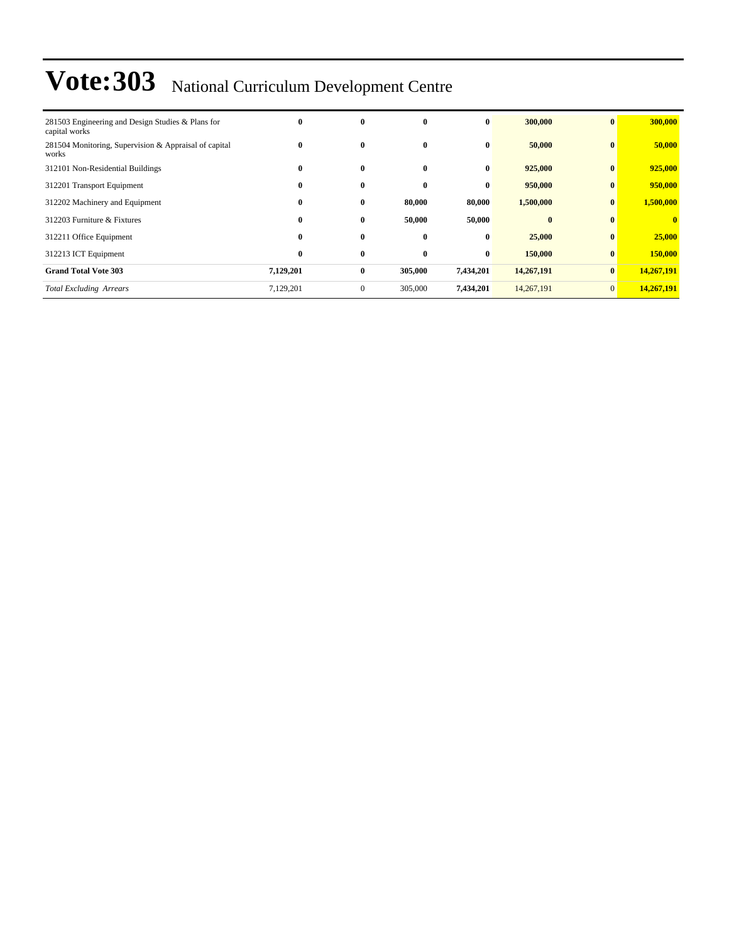| 281503 Engineering and Design Studies & Plans for<br>capital works | $\bf{0}$  | $\mathbf{0}$ | $\mathbf{0}$ | $\bf{0}$  | 300,000      | $\mathbf{0}$ | 300,000      |
|--------------------------------------------------------------------|-----------|--------------|--------------|-----------|--------------|--------------|--------------|
| 281504 Monitoring, Supervision & Appraisal of capital<br>works     | $\bf{0}$  | $\bf{0}$     | $\bf{0}$     | $\bf{0}$  | 50,000       | $\bf{0}$     | 50,000       |
| 312101 Non-Residential Buildings                                   | $\bf{0}$  | $\mathbf{0}$ | $\mathbf{0}$ | $\bf{0}$  | 925,000      | $\bf{0}$     | 925,000      |
| 312201 Transport Equipment                                         | $\bf{0}$  | $\bf{0}$     | $\mathbf{0}$ | $\bf{0}$  | 950,000      | $\mathbf{0}$ | 950,000      |
| 312202 Machinery and Equipment                                     | $\bf{0}$  | $\bf{0}$     | 80,000       | 80,000    | 1,500,000    | $\bf{0}$     | 1,500,000    |
| 312203 Furniture & Fixtures                                        | $\bf{0}$  | $\bf{0}$     | 50,000       | 50,000    | $\mathbf{0}$ | $\mathbf{0}$ | $\mathbf{0}$ |
| 312211 Office Equipment                                            | $\bf{0}$  | $\bf{0}$     | $\bf{0}$     | $\bf{0}$  | 25,000       | $\bf{0}$     | 25,000       |
| 312213 ICT Equipment                                               | $\bf{0}$  | $\bf{0}$     | $\mathbf{0}$ | $\bf{0}$  | 150,000      | $\bf{0}$     | 150,000      |
| <b>Grand Total Vote 303</b>                                        | 7,129,201 | $\bf{0}$     | 305,000      | 7,434,201 | 14,267,191   | $\bf{0}$     | 14,267,191   |
| <b>Total Excluding Arrears</b>                                     | 7,129,201 | $\mathbf{0}$ | 305,000      | 7,434,201 | 14,267,191   | $\mathbf{0}$ | 14,267,191   |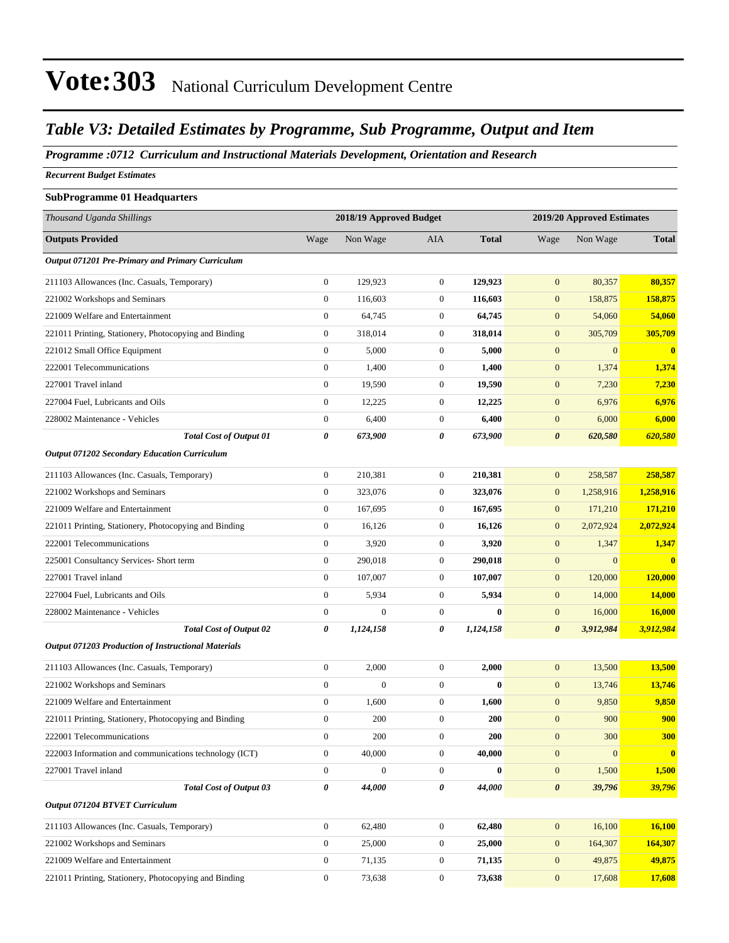#### *Table V3: Detailed Estimates by Programme, Sub Programme, Output and Item*

*Programme :0712 Curriculum and Instructional Materials Development, Orientation and Research*

*Recurrent Budget Estimates*

| <b>SubProgramme 01 Headquarters</b>                        |                       |                         |                  |              |                            |                  |              |  |
|------------------------------------------------------------|-----------------------|-------------------------|------------------|--------------|----------------------------|------------------|--------------|--|
| Thousand Uganda Shillings                                  |                       | 2018/19 Approved Budget |                  |              | 2019/20 Approved Estimates |                  |              |  |
| <b>Outputs Provided</b>                                    | Wage                  | Non Wage                | AIA              | <b>Total</b> | Wage                       | Non Wage         | <b>Total</b> |  |
| Output 071201 Pre-Primary and Primary Curriculum           |                       |                         |                  |              |                            |                  |              |  |
| 211103 Allowances (Inc. Casuals, Temporary)                | $\mathbf{0}$          | 129,923                 | $\mathbf{0}$     | 129,923      | $\mathbf{0}$               | 80,357           | 80,357       |  |
| 221002 Workshops and Seminars                              | $\theta$              | 116,603                 | $\boldsymbol{0}$ | 116,603      | $\mathbf{0}$               | 158,875          | 158,875      |  |
| 221009 Welfare and Entertainment                           | $\theta$              | 64,745                  | $\boldsymbol{0}$ | 64,745       | $\mathbf{0}$               | 54,060           | 54,060       |  |
| 221011 Printing, Stationery, Photocopying and Binding      | $\mathbf{0}$          | 318,014                 | $\boldsymbol{0}$ | 318,014      | $\mathbf{0}$               | 305,709          | 305,709      |  |
| 221012 Small Office Equipment                              | $\mathbf{0}$          | 5,000                   | $\boldsymbol{0}$ | 5,000        | $\mathbf{0}$               | $\mathbf{0}$     | $\bf{0}$     |  |
| 222001 Telecommunications                                  | $\mathbf{0}$          | 1,400                   | $\mathbf{0}$     | 1,400        | $\mathbf{0}$               | 1,374            | 1,374        |  |
| 227001 Travel inland                                       | $\mathbf{0}$          | 19,590                  | $\boldsymbol{0}$ | 19,590       | $\mathbf{0}$               | 7,230            | 7,230        |  |
| 227004 Fuel, Lubricants and Oils                           | $\mathbf{0}$          | 12,225                  | $\boldsymbol{0}$ | 12,225       | $\mathbf{0}$               | 6,976            | 6,976        |  |
| 228002 Maintenance - Vehicles                              | $\mathbf{0}$          | 6,400                   | $\boldsymbol{0}$ | 6,400        | $\mathbf{0}$               | 6,000            | 6,000        |  |
| <b>Total Cost of Output 01</b>                             | 0                     | 673,900                 | 0                | 673,900      | $\boldsymbol{\theta}$      | 620,580          | 620,580      |  |
| <b>Output 071202 Secondary Education Curriculum</b>        |                       |                         |                  |              |                            |                  |              |  |
| 211103 Allowances (Inc. Casuals, Temporary)                | $\mathbf{0}$          | 210,381                 | $\boldsymbol{0}$ | 210,381      | $\mathbf{0}$               | 258,587          | 258,587      |  |
| 221002 Workshops and Seminars                              | $\mathbf{0}$          | 323,076                 | $\boldsymbol{0}$ | 323,076      | $\mathbf{0}$               | 1,258,916        | 1,258,916    |  |
| 221009 Welfare and Entertainment                           | $\mathbf{0}$          | 167,695                 | $\boldsymbol{0}$ | 167,695      | $\mathbf{0}$               | 171,210          | 171,210      |  |
| 221011 Printing, Stationery, Photocopying and Binding      | $\mathbf{0}$          | 16,126                  | $\boldsymbol{0}$ | 16,126       | $\mathbf{0}$               | 2,072,924        | 2,072,924    |  |
| 222001 Telecommunications                                  | $\mathbf{0}$          | 3,920                   | $\boldsymbol{0}$ | 3,920        | $\mathbf{0}$               | 1,347            | 1,347        |  |
| 225001 Consultancy Services- Short term                    | $\mathbf{0}$          | 290,018                 | $\boldsymbol{0}$ | 290,018      | $\mathbf{0}$               | $\boldsymbol{0}$ | $\bf{0}$     |  |
| 227001 Travel inland                                       | $\boldsymbol{0}$      | 107,007                 | $\boldsymbol{0}$ | 107,007      | $\mathbf{0}$               | 120,000          | 120,000      |  |
| 227004 Fuel, Lubricants and Oils                           | $\mathbf{0}$          | 5,934                   | $\boldsymbol{0}$ | 5,934        | $\mathbf{0}$               | 14,000           | 14,000       |  |
| 228002 Maintenance - Vehicles                              | $\mathbf{0}$          | $\mathbf{0}$            | $\mathbf{0}$     | 0            | $\mathbf{0}$               | 16,000           | 16,000       |  |
| <b>Total Cost of Output 02</b>                             | 0                     | 1,124,158               | 0                | 1,124,158    | $\boldsymbol{\theta}$      | 3,912,984        | 3,912,984    |  |
| <b>Output 071203 Production of Instructional Materials</b> |                       |                         |                  |              |                            |                  |              |  |
| 211103 Allowances (Inc. Casuals, Temporary)                | $\mathbf{0}$          | 2,000                   | $\boldsymbol{0}$ | 2,000        | $\mathbf{0}$               | 13,500           | 13,500       |  |
| 221002 Workshops and Seminars                              | $\mathbf{0}$          | $\mathbf{0}$            | $\boldsymbol{0}$ | $\bf{0}$     | $\mathbf{0}$               | 13,746           | 13,746       |  |
| 221009 Welfare and Entertainment                           | $\mathbf{0}$          | 1,600                   | $\boldsymbol{0}$ | 1,600        | $\mathbf{0}$               | 9,850            | 9,850        |  |
| 221011 Printing, Stationery, Photocopying and Binding      | $\mathbf{0}$          | 200                     | $\mathbf{0}$     | 200          | $\overline{0}$             | 900              | 900          |  |
| 222001 Telecommunications                                  | $\mathbf{0}$          | 200                     | $\boldsymbol{0}$ | 200          | $\mathbf{0}$               | 300              | 300          |  |
| 222003 Information and communications technology (ICT)     | $\boldsymbol{0}$      | 40,000                  | $\boldsymbol{0}$ | 40,000       | $\mathbf{0}$               | $\mathbf{0}$     | $\bf{0}$     |  |
| 227001 Travel inland                                       | $\mathbf{0}$          | $\boldsymbol{0}$        | $\boldsymbol{0}$ | $\bf{0}$     | $\mathbf{0}$               | 1,500            | 1,500        |  |
| <b>Total Cost of Output 03</b>                             | $\boldsymbol{\theta}$ | 44,000                  | 0                | 44,000       | $\boldsymbol{\theta}$      | 39,796           | 39,796       |  |
| Output 071204 BTVET Curriculum                             |                       |                         |                  |              |                            |                  |              |  |
| 211103 Allowances (Inc. Casuals, Temporary)                | $\boldsymbol{0}$      | 62,480                  | $\boldsymbol{0}$ | 62,480       | $\mathbf{0}$               | 16,100           | 16,100       |  |
| 221002 Workshops and Seminars                              | $\boldsymbol{0}$      | 25,000                  | $\boldsymbol{0}$ | 25,000       | $\mathbf{0}$               | 164,307          | 164,307      |  |
| 221009 Welfare and Entertainment                           | $\boldsymbol{0}$      | 71,135                  | $\boldsymbol{0}$ | 71,135       | $\mathbf{0}$               | 49,875           | 49,875       |  |
| 221011 Printing, Stationery, Photocopying and Binding      | $\boldsymbol{0}$      | 73,638                  | $\boldsymbol{0}$ | 73,638       | $\mathbf{0}$               | 17,608           | 17,608       |  |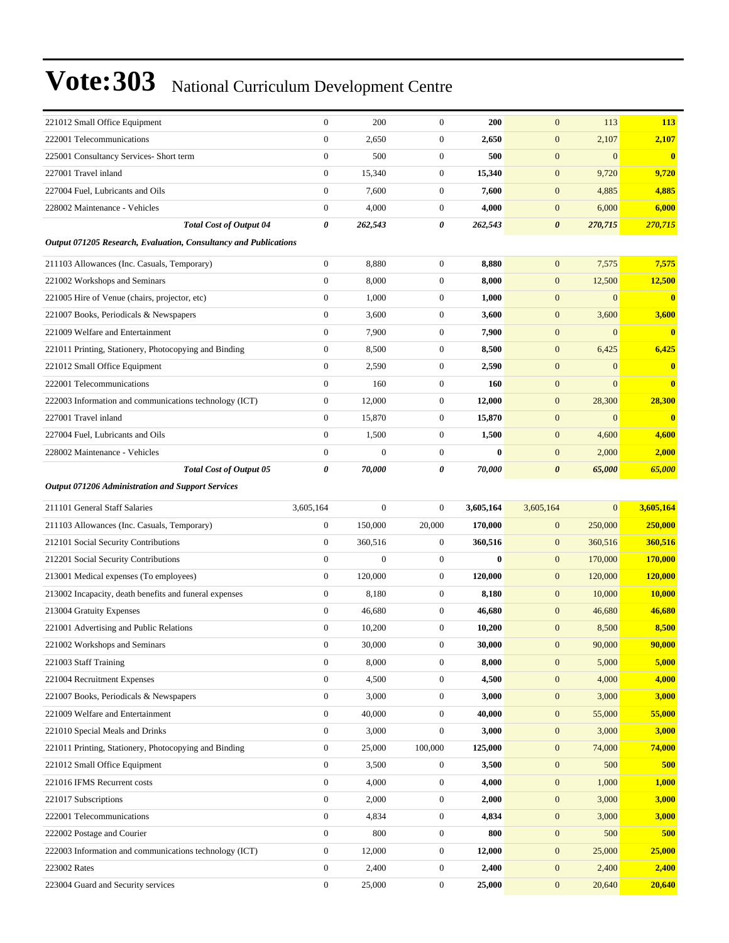| 221012 Small Office Equipment                                    | $\mathbf{0}$     | 200          | $\mathbf{0}$     | 200       | $\mathbf{0}$          | 113          | 113           |
|------------------------------------------------------------------|------------------|--------------|------------------|-----------|-----------------------|--------------|---------------|
| 222001 Telecommunications                                        | $\overline{0}$   | 2,650        | $\mathbf{0}$     | 2,650     | $\mathbf{0}$          | 2,107        | 2,107         |
| 225001 Consultancy Services- Short term                          | $\mathbf{0}$     | 500          | $\boldsymbol{0}$ | 500       | $\mathbf{0}$          | $\mathbf{0}$ | $\bf{0}$      |
| 227001 Travel inland                                             | $\boldsymbol{0}$ | 15,340       | $\boldsymbol{0}$ | 15.340    | $\mathbf{0}$          | 9,720        | 9,720         |
| 227004 Fuel, Lubricants and Oils                                 | $\boldsymbol{0}$ | 7,600        | $\boldsymbol{0}$ | 7,600     | $\mathbf{0}$          | 4,885        | 4,885         |
| 228002 Maintenance - Vehicles                                    | $\mathbf{0}$     | 4,000        | $\boldsymbol{0}$ | 4,000     | $\boldsymbol{0}$      | 6,000        | 6,000         |
| <b>Total Cost of Output 04</b>                                   | 0                | 262,543      | 0                | 262,543   | $\boldsymbol{\theta}$ | 270,715      | 270,715       |
| Output 071205 Research, Evaluation, Consultancy and Publications |                  |              |                  |           |                       |              |               |
| 211103 Allowances (Inc. Casuals, Temporary)                      | $\boldsymbol{0}$ | 8,880        | $\boldsymbol{0}$ | 8,880     | $\boldsymbol{0}$      | 7,575        | 7,575         |
| 221002 Workshops and Seminars                                    | $\boldsymbol{0}$ | 8,000        | $\boldsymbol{0}$ | 8,000     | $\mathbf{0}$          | 12,500       | 12,500        |
| 221005 Hire of Venue (chairs, projector, etc)                    | $\boldsymbol{0}$ | 1,000        | $\boldsymbol{0}$ | 1,000     | $\mathbf{0}$          | $\mathbf{0}$ | $\bf{0}$      |
| 221007 Books, Periodicals & Newspapers                           | $\mathbf{0}$     | 3,600        | $\mathbf{0}$     | 3,600     | $\boldsymbol{0}$      | 3,600        | 3,600         |
| 221009 Welfare and Entertainment                                 | $\mathbf{0}$     | 7,900        | $\mathbf{0}$     | 7,900     | $\mathbf{0}$          | $\mathbf{0}$ | $\bf{0}$      |
| 221011 Printing, Stationery, Photocopying and Binding            | $\boldsymbol{0}$ | 8,500        | $\boldsymbol{0}$ | 8,500     | $\boldsymbol{0}$      | 6,425        | 6,425         |
| 221012 Small Office Equipment                                    | $\boldsymbol{0}$ | 2,590        | $\boldsymbol{0}$ | 2,590     | $\mathbf{0}$          | $\mathbf{0}$ | $\mathbf{0}$  |
| 222001 Telecommunications                                        | $\boldsymbol{0}$ | 160          | $\boldsymbol{0}$ | 160       | $\mathbf{0}$          | $\mathbf{0}$ | $\bf{0}$      |
| 222003 Information and communications technology (ICT)           | $\boldsymbol{0}$ | 12,000       | $\mathbf{0}$     | 12,000    | $\boldsymbol{0}$      | 28,300       | 28,300        |
| 227001 Travel inland                                             | $\mathbf{0}$     | 15,870       | $\mathbf{0}$     | 15,870    | $\mathbf{0}$          | $\mathbf{0}$ | $\bf{0}$      |
| 227004 Fuel, Lubricants and Oils                                 | $\boldsymbol{0}$ | 1,500        | $\boldsymbol{0}$ | 1,500     | $\boldsymbol{0}$      | 4,600        | 4,600         |
| 228002 Maintenance - Vehicles                                    | $\boldsymbol{0}$ | $\mathbf{0}$ | $\boldsymbol{0}$ | $\bf{0}$  | $\mathbf{0}$          | 2,000        | 2,000         |
| <b>Total Cost of Output 05</b>                                   | 0                | 70,000       | 0                | 70,000    | $\boldsymbol{\theta}$ | 65,000       | 65,000        |
| Output 071206 Administration and Support Services                |                  |              |                  |           |                       |              |               |
| 211101 General Staff Salaries                                    | 3,605,164        | $\mathbf{0}$ | $\boldsymbol{0}$ | 3,605,164 | 3,605,164             | $\mathbf{0}$ | 3,605,164     |
| 211103 Allowances (Inc. Casuals, Temporary)                      | $\boldsymbol{0}$ | 150,000      | 20,000           | 170,000   | $\mathbf{0}$          | 250,000      | 250,000       |
| 212101 Social Security Contributions                             | $\boldsymbol{0}$ | 360,516      | $\mathbf{0}$     | 360,516   | $\mathbf{0}$          | 360,516      | 360,516       |
| 212201 Social Security Contributions                             | $\boldsymbol{0}$ | $\mathbf{0}$ | $\boldsymbol{0}$ | $\bf{0}$  | $\boldsymbol{0}$      | 170,000      | 170,000       |
| 213001 Medical expenses (To employees)                           | $\boldsymbol{0}$ | 120,000      | $\boldsymbol{0}$ | 120,000   | $\mathbf{0}$          | 120,000      | 120,000       |
| 213002 Incapacity, death benefits and funeral expenses           | $\boldsymbol{0}$ | 8,180        | $\boldsymbol{0}$ | 8,180     | $\boldsymbol{0}$      | 10,000       | 10,000        |
| 213004 Gratuity Expenses                                         | $\boldsymbol{0}$ | 46,680       | $\mathbf{0}$     | 46,680    | $\mathbf{0}$          | 46,680       | 46,680        |
| 221001 Advertising and Public Relations                          | $\boldsymbol{0}$ | 10,200       | $\mathbf{0}$     | 10,200    | $\mathbf{0}$          | 8,500        | 8,500         |
| 221002 Workshops and Seminars                                    | $\boldsymbol{0}$ | 30,000       | $\boldsymbol{0}$ | 30,000    | $\mathbf{0}$          | 90,000       | 90,000        |
| 221003 Staff Training                                            | $\boldsymbol{0}$ |              |                  |           |                       |              |               |
| 221004 Recruitment Expenses                                      |                  | 8,000        | $\boldsymbol{0}$ | 8,000     | $\boldsymbol{0}$      | 5,000        | 5,000         |
|                                                                  | $\boldsymbol{0}$ | 4,500        | $\boldsymbol{0}$ | 4,500     | $\boldsymbol{0}$      | 4,000        | 4,000         |
| 221007 Books, Periodicals & Newspapers                           | $\boldsymbol{0}$ | 3,000        | $\boldsymbol{0}$ | 3,000     | $\boldsymbol{0}$      | 3,000        | 3,000         |
| 221009 Welfare and Entertainment                                 | $\boldsymbol{0}$ | 40,000       | $\boldsymbol{0}$ | 40,000    | $\mathbf{0}$          | 55,000       | 55,000        |
| 221010 Special Meals and Drinks                                  | $\boldsymbol{0}$ | 3,000        | $\boldsymbol{0}$ | 3,000     | $\mathbf{0}$          | 3,000        | 3,000         |
| 221011 Printing, Stationery, Photocopying and Binding            | $\boldsymbol{0}$ | 25,000       | 100,000          | 125,000   | $\mathbf{0}$          | 74,000       | <b>74,000</b> |
| 221012 Small Office Equipment                                    | $\boldsymbol{0}$ | 3,500        | $\boldsymbol{0}$ | 3,500     | $\mathbf{0}$          | 500          | 500           |
| 221016 IFMS Recurrent costs                                      | $\boldsymbol{0}$ | 4,000        | $\boldsymbol{0}$ | 4,000     | $\boldsymbol{0}$      | 1,000        | <b>1,000</b>  |
| 221017 Subscriptions                                             | $\boldsymbol{0}$ | 2,000        | $\boldsymbol{0}$ | 2,000     | $\boldsymbol{0}$      | 3,000        | 3,000         |
| 222001 Telecommunications                                        | $\boldsymbol{0}$ | 4,834        | $\boldsymbol{0}$ | 4,834     | $\mathbf{0}$          | 3,000        | 3,000         |
| 222002 Postage and Courier                                       | $\boldsymbol{0}$ | 800          | $\boldsymbol{0}$ | 800       | $\boldsymbol{0}$      | 500          | <b>500</b>    |
| 222003 Information and communications technology (ICT)           | $\boldsymbol{0}$ | 12,000       | $\boldsymbol{0}$ | 12,000    | $\boldsymbol{0}$      | 25,000       | 25,000        |
| 223002 Rates                                                     | $\boldsymbol{0}$ | 2,400        | $\boldsymbol{0}$ | 2,400     | $\mathbf{0}$          | 2,400        | 2,400         |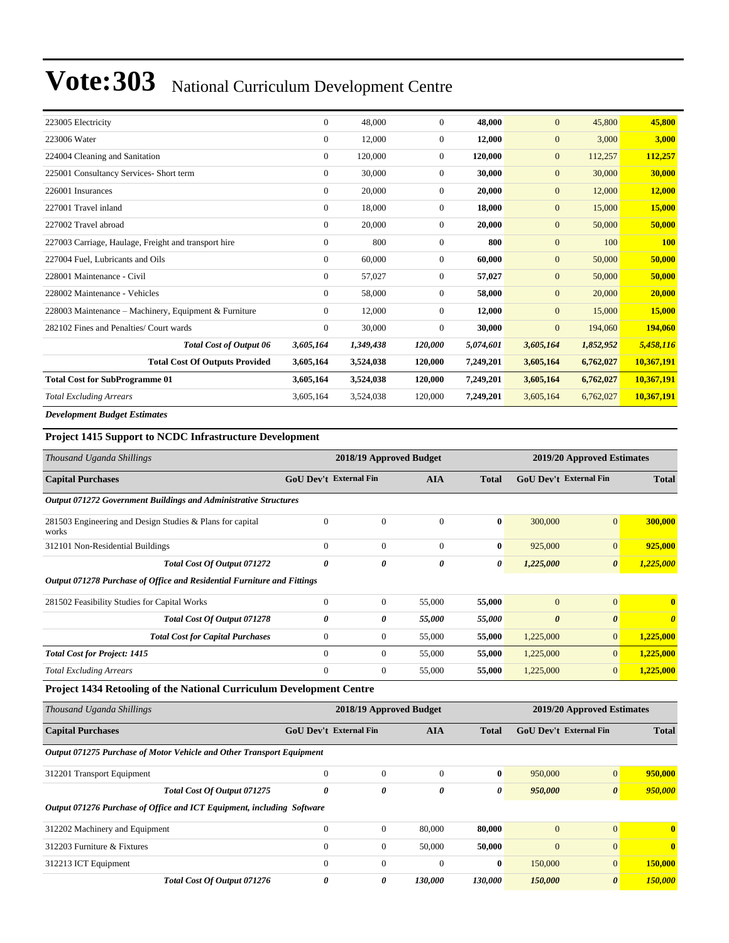| 223005 Electricity                                    | $\overline{0}$ | 48,000    | $\Omega$       | 48.000    | $\overline{0}$ | 45,800    | 45,800     |
|-------------------------------------------------------|----------------|-----------|----------------|-----------|----------------|-----------|------------|
| 223006 Water                                          | $\overline{0}$ | 12,000    | $\overline{0}$ | 12,000    | $\mathbf{0}$   | 3,000     | 3,000      |
| 224004 Cleaning and Sanitation                        | $\overline{0}$ | 120,000   | $\overline{0}$ | 120,000   | $\mathbf{0}$   | 112,257   | 112,257    |
| 225001 Consultancy Services- Short term               | $\overline{0}$ | 30,000    | $\overline{0}$ | 30,000    | $\mathbf{0}$   | 30,000    | 30,000     |
| 226001 Insurances                                     | $\Omega$       | 20,000    | $\overline{0}$ | 20,000    | $\mathbf{0}$   | 12,000    | 12,000     |
| 227001 Travel inland                                  | $\overline{0}$ | 18,000    | $\overline{0}$ | 18,000    | $\mathbf{0}$   | 15,000    | 15,000     |
| 227002 Travel abroad                                  | $\overline{0}$ | 20,000    | $\overline{0}$ | 20,000    | $\mathbf{0}$   | 50,000    | 50,000     |
| 227003 Carriage, Haulage, Freight and transport hire  | $\overline{0}$ | 800       | $\mathbf{0}$   | 800       | $\mathbf{0}$   | 100       | <b>100</b> |
| 227004 Fuel, Lubricants and Oils                      | $\overline{0}$ | 60,000    | $\overline{0}$ | 60,000    | $\mathbf{0}$   | 50,000    | 50,000     |
| 228001 Maintenance - Civil                            | $\overline{0}$ | 57,027    | $\mathbf{0}$   | 57,027    | $\mathbf{0}$   | 50,000    | 50,000     |
| 228002 Maintenance - Vehicles                         | $\overline{0}$ | 58,000    | $\overline{0}$ | 58,000    | $\mathbf{0}$   | 20,000    | 20,000     |
| 228003 Maintenance – Machinery, Equipment & Furniture | $\Omega$       | 12,000    | $\overline{0}$ | 12,000    | $\mathbf{0}$   | 15,000    | 15,000     |
| 282102 Fines and Penalties/ Court wards               | $\Omega$       | 30,000    | $\Omega$       | 30,000    | $\mathbf{0}$   | 194,060   | 194,060    |
| <b>Total Cost of Output 06</b>                        | 3,605,164      | 1,349,438 | 120,000        | 5,074,601 | 3,605,164      | 1,852,952 | 5,458,116  |
| <b>Total Cost Of Outputs Provided</b>                 | 3,605,164      | 3,524,038 | 120,000        | 7,249,201 | 3,605,164      | 6,762,027 | 10,367,191 |
| <b>Total Cost for SubProgramme 01</b>                 | 3,605,164      | 3,524,038 | 120,000        | 7,249,201 | 3,605,164      | 6,762,027 | 10,367,191 |
| <b>Total Excluding Arrears</b>                        | 3,605,164      | 3,524,038 | 120,000        | 7,249,201 | 3,605,164      | 6,762,027 | 10,367,191 |
| <b>Development Budget Estimates</b>                   |                |           |                |           |                |           |            |

#### **Project 1415 Support to NCDC Infrastructure Development**

| Thousand Uganda Shillings                                               |                               | 2018/19 Approved Budget |                         |              | 2019/20 Approved Estimates |                                               |                       |  |
|-------------------------------------------------------------------------|-------------------------------|-------------------------|-------------------------|--------------|----------------------------|-----------------------------------------------|-----------------------|--|
| <b>Capital Purchases</b>                                                | <b>GoU Dev't External Fin</b> |                         | <b>AIA</b>              | <b>Total</b> |                            | <b>GoU Dev't External Fin</b>                 | <b>Total</b>          |  |
| Output 071272 Government Buildings and Administrative Structures        |                               |                         |                         |              |                            |                                               |                       |  |
| 281503 Engineering and Design Studies & Plans for capital<br>works      | $\overline{0}$                | $\mathbf{0}$            | $\mathbf{0}$            | $\bf{0}$     | 300,000                    | $\overline{0}$                                | 300,000               |  |
| 312101 Non-Residential Buildings                                        | $\overline{0}$                | $\boldsymbol{0}$        | $\overline{0}$          | $\bf{0}$     | 925,000                    | $\mathbf{0}$                                  | 925,000               |  |
| Total Cost Of Output 071272                                             | $\pmb{\theta}$                | 0                       | 0                       | 0            | 1,225,000                  | $\boldsymbol{\theta}$                         | 1,225,000             |  |
| Output 071278 Purchase of Office and Residential Furniture and Fittings |                               |                         |                         |              |                            |                                               |                       |  |
| 281502 Feasibility Studies for Capital Works                            | $\mathbf{0}$                  | $\mathbf{0}$            | 55,000                  | 55,000       | $\overline{0}$             | $\overline{0}$                                | $\mathbf{0}$          |  |
| Total Cost Of Output 071278                                             | 0                             | 0                       | 55,000                  | 55,000       | $\boldsymbol{\theta}$      | $\boldsymbol{\theta}$                         | $\boldsymbol{\theta}$ |  |
| <b>Total Cost for Capital Purchases</b>                                 | $\mathbf{0}$                  | $\boldsymbol{0}$        | 55,000                  | 55,000       | 1,225,000                  | $\overline{0}$                                | 1,225,000             |  |
| <b>Total Cost for Project: 1415</b>                                     | $\Omega$                      | $\mathbf{0}$            | 55,000                  | 55,000       | 1,225,000                  | $\overline{0}$                                | 1,225,000             |  |
| <b>Total Excluding Arrears</b>                                          | $\overline{0}$                | $\mathbf{0}$            | 55,000                  | 55,000       | 1,225,000                  | $\overline{0}$                                | 1,225,000             |  |
| Project 1434 Retooling of the National Curriculum Development Centre    |                               |                         |                         |              |                            |                                               |                       |  |
| Thousand Uganda Shillings                                               |                               |                         | 2018/19 Approved Budget |              |                            | 2019/20 Approved Estimates                    |                       |  |
| <b>Capital Purchases</b>                                                | <b>GoU Dev't External Fin</b> |                         | <b>AIA</b>              | <b>Total</b> |                            | <b>GoU Dev't External Fin</b><br><b>Total</b> |                       |  |
| Output 071275 Purchase of Motor Vehicle and Other Transport Equipment   |                               |                         |                         |              |                            |                                               |                       |  |
| 312201 Transport Equipment                                              | $\overline{0}$                | $\mathbf{0}$            | $\mathbf{0}$            | $\bf{0}$     | 950,000                    | $\overline{0}$                                | 950,000               |  |
| <b>Total Cost Of Output 071275</b>                                      | 0                             | 0                       | 0                       | 0            | 950,000                    | $\theta$                                      | 950,000               |  |
| Output 071276 Purchase of Office and ICT Equipment, including Software  |                               |                         |                         |              |                            |                                               |                       |  |
| 312202 Machinery and Equipment                                          | $\overline{0}$                | $\boldsymbol{0}$        | 80,000                  | 80,000       | $\mathbf{0}$               | $\overline{0}$                                | $\mathbf{0}$          |  |
| 312203 Furniture & Fixtures                                             | $\overline{0}$                | $\boldsymbol{0}$        | 50,000                  | 50,000       | $\overline{0}$             | $\mathbf{0}$                                  | $\mathbf{0}$          |  |
| 312213 ICT Equipment                                                    | $\mathbf{0}$                  | $\boldsymbol{0}$        | $\mathbf{0}$            | $\bf{0}$     | 150,000                    | $\overline{0}$                                | 150,000               |  |
| Total Cost Of Output 071276                                             | 0                             | 0                       | 130,000                 | 130,000      | 150,000                    | $\boldsymbol{\theta}$                         | 150,000               |  |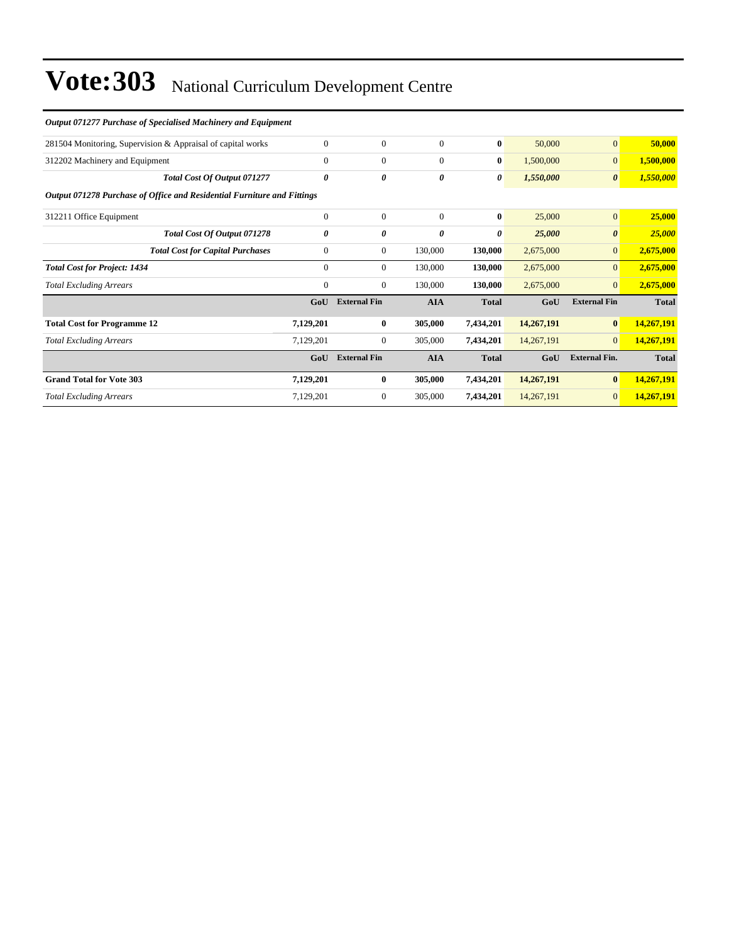| Output 071277 Purchase of Specialised Machinery and Equipment           |              |                     |                |              |            |                       |              |  |  |  |
|-------------------------------------------------------------------------|--------------|---------------------|----------------|--------------|------------|-----------------------|--------------|--|--|--|
| 281504 Monitoring, Supervision & Appraisal of capital works             | $\mathbf{0}$ | $\mathbf{0}$        | $\overline{0}$ | $\bf{0}$     | 50,000     | $\mathbf{0}$          | 50,000       |  |  |  |
| 312202 Machinery and Equipment                                          | $\theta$     | $\mathbf{0}$        | $\overline{0}$ | $\bf{0}$     | 1,500,000  | $\mathbf{0}$          | 1,500,000    |  |  |  |
| Total Cost Of Output 071277                                             | 0            | 0                   | 0              | 0            | 1,550,000  | $\boldsymbol{\theta}$ | 1,550,000    |  |  |  |
| Output 071278 Purchase of Office and Residential Furniture and Fittings |              |                     |                |              |            |                       |              |  |  |  |
| 312211 Office Equipment                                                 | $\mathbf{0}$ | $\mathbf{0}$        | $\overline{0}$ | $\bf{0}$     | 25,000     | $\mathbf{0}$          | 25,000       |  |  |  |
| Total Cost Of Output 071278                                             | $\theta$     | 0                   | 0              | 0            | 25,000     | $\boldsymbol{\theta}$ | 25,000       |  |  |  |
| <b>Total Cost for Capital Purchases</b>                                 | $\mathbf{0}$ | $\mathbf{0}$        | 130,000        | 130,000      | 2,675,000  | $\overline{0}$        | 2,675,000    |  |  |  |
| <b>Total Cost for Project: 1434</b>                                     | $\Omega$     | $\mathbf{0}$        | 130,000        | 130,000      | 2,675,000  | $\overline{0}$        | 2,675,000    |  |  |  |
| <b>Total Excluding Arrears</b>                                          | $\mathbf{0}$ | $\mathbf{0}$        | 130,000        | 130,000      | 2,675,000  | $\overline{0}$        | 2,675,000    |  |  |  |
|                                                                         | GoU          | <b>External Fin</b> | <b>AIA</b>     | <b>Total</b> | GoU        | <b>External Fin</b>   | <b>Total</b> |  |  |  |
| <b>Total Cost for Programme 12</b>                                      | 7,129,201    | $\bf{0}$            | 305,000        | 7,434,201    | 14,267,191 | $\bf{0}$              | 14,267,191   |  |  |  |
| <b>Total Excluding Arrears</b>                                          | 7,129,201    | $\mathbf{0}$        | 305,000        | 7,434,201    | 14,267,191 | $\overline{0}$        | 14,267,191   |  |  |  |
|                                                                         | GoU          | <b>External Fin</b> | <b>AIA</b>     | <b>Total</b> | GoU        | <b>External Fin.</b>  | <b>Total</b> |  |  |  |
| <b>Grand Total for Vote 303</b>                                         | 7,129,201    | $\bf{0}$            | 305,000        | 7,434,201    | 14,267,191 | $\bf{0}$              | 14,267,191   |  |  |  |
| <b>Total Excluding Arrears</b>                                          | 7,129,201    | $\mathbf{0}$        | 305,000        | 7,434,201    | 14,267,191 | $\overline{0}$        | 14,267,191   |  |  |  |